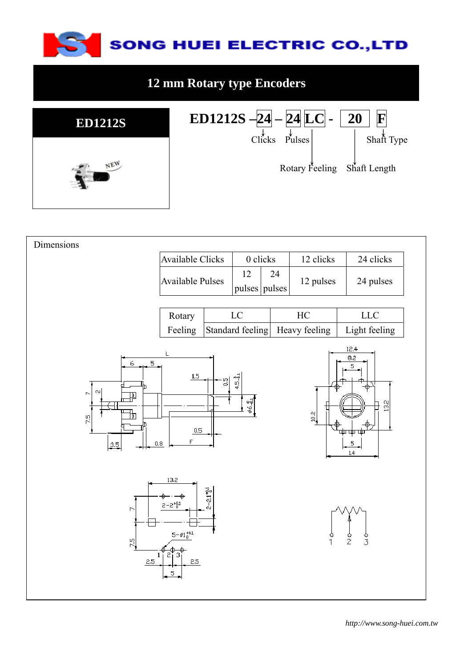

## **12 mm Rotary type Encoders**